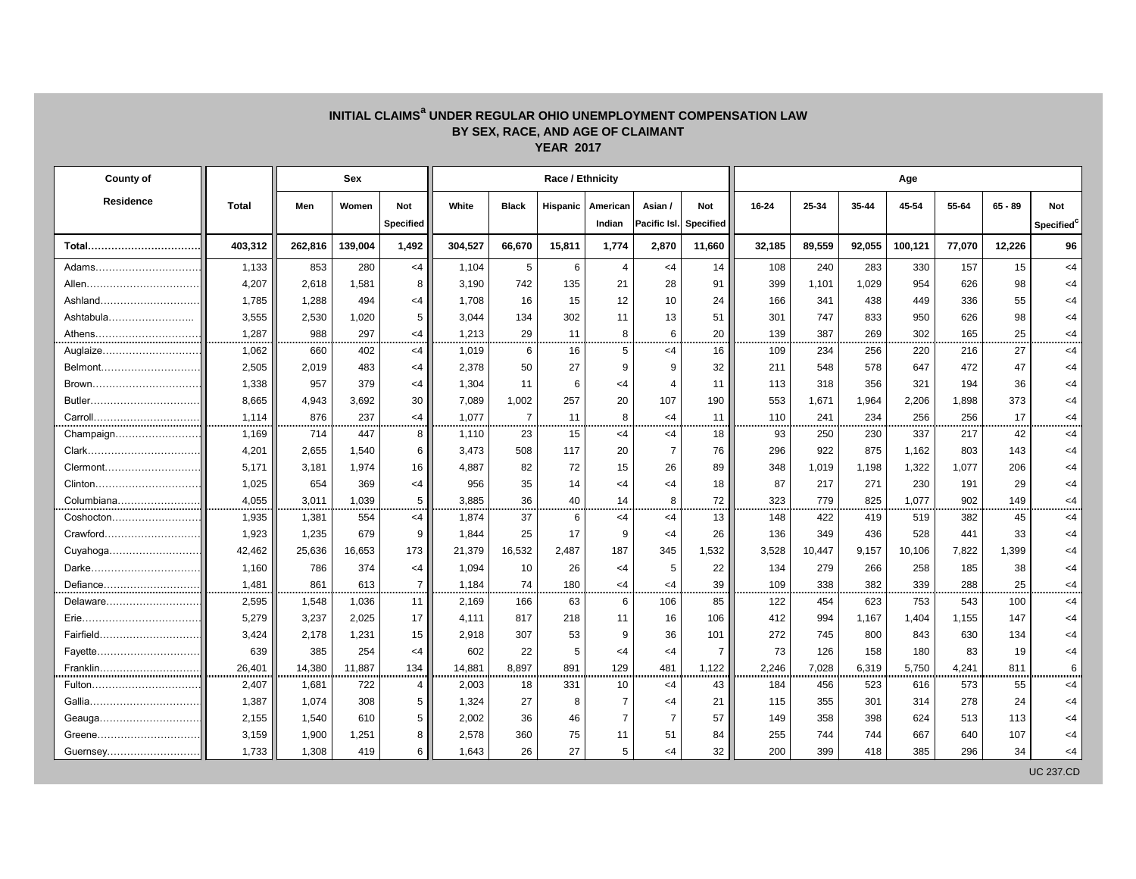## **INITIAL CLAIMS<sup>a</sup> UNDER REGULAR OHIO UNEMPLOYMENT COMPENSATION LAW BY SEX, RACE, AND AGE OF CLAIMANT YEAR 2017**

| <b>County of</b> |              | <b>Sex</b> |         |                                |         |                | Race / Ethnicity |                               |                               |                         | Age       |        |        |         |        |           |                                      |  |  |
|------------------|--------------|------------|---------|--------------------------------|---------|----------------|------------------|-------------------------------|-------------------------------|-------------------------|-----------|--------|--------|---------|--------|-----------|--------------------------------------|--|--|
| <b>Residence</b> | <b>Total</b> | Men        | Women   | <b>Not</b><br><b>Specified</b> | White   | <b>Black</b>   |                  | Hispanic   American<br>Indian | Asian /<br><b>Pacific Isl</b> | <b>Not</b><br>Specified | $16 - 24$ | 25-34  | 35-44  | 45-54   | 55-64  | $65 - 89$ | <b>Not</b><br>Specified <sup>c</sup> |  |  |
| Total            | 403,312      | 262,816    | 139,004 | 1,492                          | 304,527 | 66,670         | 15,811           | 1,774                         | 2,870                         | 11,660                  | 32,185    | 89,559 | 92,055 | 100,121 | 77,070 | 12,226    | 96                                   |  |  |
| Adams            | 1,133        | 853        | 280     | $<$ 4                          | 1,104   | 5              | 6                | $\overline{4}$                | $<$ 4                         | 14                      | 108       | 240    | 283    | 330     | 157    | 15        | $<$ 4                                |  |  |
|                  | 4,207        | 2,618      | 1,581   | 8                              | 3,190   | 742            | 135              | 21                            | 28                            | 91                      | 399       | 1,101  | 1,029  | 954     | 626    | 98        | $<$ 4                                |  |  |
| Ashland          | 1,785        | 1,288      | 494     | $\leq$ 4                       | 1,708   | 16             | 15               | 12                            | 10                            | 24                      | 166       | 341    | 438    | 449     | 336    | 55        | $<$ 4                                |  |  |
| Ashtabula        | 3,555        | 2,530      | 1,020   | 5                              | 3,044   | 134            | 302              | 11                            | 13                            | 51                      | 301       | 747    | 833    | 950     | 626    | 98        | $<$ 4                                |  |  |
| Athens           | 1,287        | 988        | 297     | -4                             | 1,213   | 29             | 11               | 8                             | 6                             | 20                      | 139       | 387    | 269    | 302     | 165    | 25        | $<$ 4                                |  |  |
| Auglaize         | 1,062        | 660        | 402     | $<$ 4                          | 1,019   | 6              | 16               | $5\phantom{.0}$               | <4                            | 16                      | 109       | 234    | 256    | 220     | 216    | 27        | $<$ 4                                |  |  |
| Belmont          | 2,505        | 2,019      | 483     | <4                             | 2,378   | 50             | 27               | 9                             | 9                             | 32                      | 211       | 548    | 578    | 647     | 472    | 47        | $<$ 4                                |  |  |
| Brown            | 1,338        | 957        | 379     | $\leq$ 4                       | 1,304   | 11             | 6                | <4                            |                               | 11                      | 113       | 318    | 356    | 321     | 194    | 36        | $\leq 4$                             |  |  |
|                  | 8,665        | 4,943      | 3,692   | 30                             | 7,089   | 1,002          | 257              | 20                            | 107                           | 190                     | 553       | 1,671  | 1,964  | 2,206   | 1,898  | 373       | $<$ 4                                |  |  |
| Carroll          | 1,114        | 876        | 237     | $\leq 4$                       | 1,077   | $\overline{7}$ | 11               | 8                             | $\leq$ 4                      | 11                      | 110       | 241    | 234    | 256     | 256    | 17        | $<$ 4                                |  |  |
| Champaign        | 1,169        | 714        | 447     | 8                              | 1,110   | 23             | 15               | $<$ 4                         | <4                            | 18                      | 93        | 250    | 230    | 337     | 217    | 42        | $<$ 4                                |  |  |
|                  | 4,201        | 2,655      | 1,540   | 6                              | 3,473   | 508            | 117              | 20                            | $\overline{7}$                | 76                      | 296       | 922    | 875    | 1,162   | 803    | 143       | $<$ 4                                |  |  |
| Clermont         | 5,171        | 3,181      | 1,974   | 16                             | 4,887   | 82             | 72               | 15                            | 26                            | 89                      | 348       | 1,019  | 1,198  | 1,322   | 1,077  | 206       | $<$ 4                                |  |  |
|                  | 1,025        | 654        | 369     | <4                             | 956     | 35             | 14               | <4                            | <4                            | 18                      | 87        | 217    | 271    | 230     | 191    | 29        | $<$ 4                                |  |  |
| Columbiana       | 4,055        | 3,011      | 1,039   | 5                              | 3,885   | 36             | 40               | 14                            | 8                             | 72                      | 323       | 779    | 825    | 1,077   | 902    | 149       | $<$ 4                                |  |  |
| Coshocton        | 1,935        | 1,381      | 554     | $<$ 4                          | 1,874   | 37             | 6                | $\leq 4$                      | $<$ 4                         | 13                      | 148       | 422    | 419    | 519     | 382    | 45        | $<$ 4                                |  |  |
| Crawford         | 1,923        | 1,235      | 679     | 9                              | 1,844   | 25             | 17               | -9                            | <4                            | 26                      | 136       | 349    | 436    | 528     | 441    | 33        | $<$ 4                                |  |  |
|                  | 42,462       | 25,636     | 16,653  | 173                            | 21,379  | 16,532         | 2,487            | 187                           | 345                           | 1,532                   | 3,528     | 10,447 | 9,157  | 10,106  | 7,822  | 1,399     | $<$ 4                                |  |  |
|                  | 1,160        | 786        | 374     | $\leq$ 4                       | 1,094   | 10             | 26               | <4                            | 5                             | 22                      | 134       | 279    | 266    | 258     | 185    | 38        | $<$ 4                                |  |  |
| Defiance         | 1,481        | 861        | 613     | $\overline{7}$                 | 1,184   | 74             | 180              | <4                            | $\leq$ 4                      | 39                      | 109       | 338    | 382    | 339     | 288    | 25        | $<$ 4                                |  |  |
| Delaware         | 2,595        | 1,548      | 1,036   | 11                             | 2,169   | 166            | 63               | 6                             | 106                           | 85                      | 122       | 454    | 623    | 753     | 543    | 100       | $<$ 4                                |  |  |
|                  | 5,279        | 3,237      | 2,025   | 17                             | 4,111   | 817            | 218              | 11                            | 16                            | 106                     | 412       | 994    | 1,167  | 1,404   | 1,155  | 147       | $<$ 4                                |  |  |
| Fairfield        | 3,424        | 2,178      | 1,231   | 15                             | 2,918   | 307            | 53               | -9                            | 36                            | 101                     | 272       | 745    | 800    | 843     | 630    | 134       | $<$ 4                                |  |  |
|                  | 639          | 385        | 254     | $\leq$ 4                       | 602     | 22             | 5                | <4                            | $<$ 4                         | 7 <sup>1</sup>          | 73        | 126    | 158    | 180     | 83     | 19        | $<$ 4                                |  |  |
| Franklin         | 26,401       | 14,380     | 11,887  | 134                            | 14,881  | 8,897          | 891              | 129                           | 481                           | 1,122                   | 2,246     | 7,028  | 6,319  | 5,750   | 4,241  | 811       | 6                                    |  |  |
| Fulton           | 2,407        | 1,681      | 722     | 4                              | 2,003   | 18             | 331              | 10                            | $<$ 4                         | 43                      | 184       | 456    | 523    | 616     | 573    | 55        | $<$ 4                                |  |  |
|                  | 1,387        | 1,074      | 308     | 5                              | 1,324   | 27             | 8                | 7                             | $\leq 4$                      | 21                      | 115       | 355    | 301    | 314     | 278    | 24        | $<$ 4                                |  |  |
| Geauga           | 2,155        | 1,540      | 610     | 5 <sup>5</sup>                 | 2,002   | 36             | 46               | 7                             | $\overline{7}$                | 57                      | 149       | 358    | 398    | 624     | 513    | 113       | $<$ 4                                |  |  |
| Greene           | 3,159        | 1,900      | 1,251   | 8                              | 2,578   | 360            | 75               | 11                            | 51                            | 84                      | 255       | 744    | 744    | 667     | 640    | 107       | $<$ 4                                |  |  |
| Guernsey         | 1,733        | 1,308      | 419     | 6                              | 1,643   | 26             | 27               | 5                             | $\leq$ 4                      | 32                      | 200       | 399    | 418    | 385     | 296    | 34        | $\leq$ 4                             |  |  |

UC 237.CD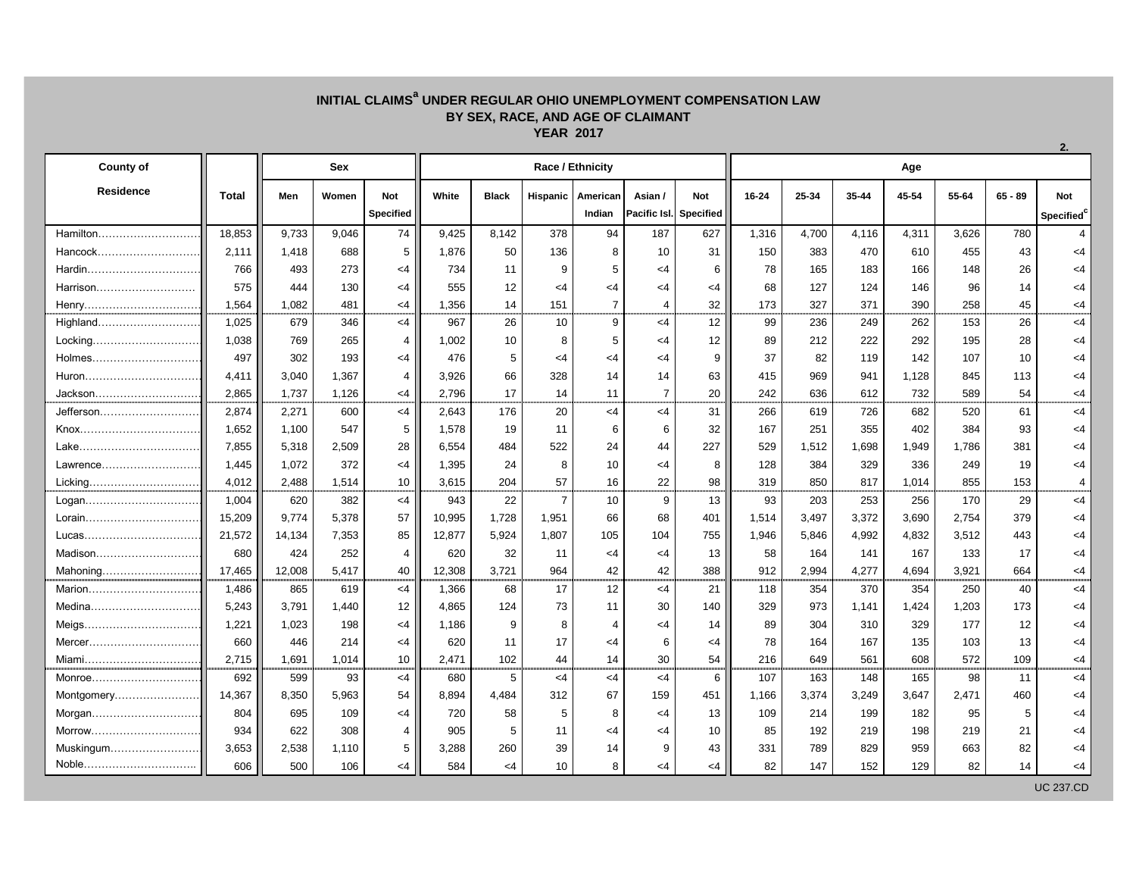## **INITIAL CLAIMS<sup>a</sup> UNDER REGULAR OHIO UNEMPLOYMENT COMPENSATION LAW BY SEX, RACE, AND AGE OF CLAIMANT YEAR 2017**

| <b>County of</b> |              | <b>Sex</b> |       |                                |        |              |                 | Race / Ethnicity              |                 |                                             | Age   |       |       |       |       |           |                                      |  |  |
|------------------|--------------|------------|-------|--------------------------------|--------|--------------|-----------------|-------------------------------|-----------------|---------------------------------------------|-------|-------|-------|-------|-------|-----------|--------------------------------------|--|--|
| <b>Residence</b> | <b>Total</b> | Men        | Women | <b>Not</b><br><b>Specified</b> | White  | <b>Black</b> |                 | Hispanic   American<br>Indian | Asian /         | <b>Not</b><br><b>Pacific Isl.</b> Specified | 16-24 | 25-34 | 35-44 | 45-54 | 55-64 | $65 - 89$ | <b>Not</b><br>Specified <sup>®</sup> |  |  |
| Hamilton         | 18,853       | 9,733      | 9,046 | 74                             | 9,425  | 8,142        | 378             | 94                            | 187             | 627                                         | 1,316 | 4,700 | 4,116 | 4,311 | 3,626 | 780       | 4                                    |  |  |
| Hancock          | 2,111        | 1,418      | 688   | 5                              | 1,876  | 50           | 136             | 8                             | 10              | 31                                          | 150   | 383   | 470   | 610   | 455   | 43        | $<$ 4                                |  |  |
| Hardin           | 766          | 493        | 273   | <4                             | 734    | 11           | 9               | 5                             | $<$ 4           | 6                                           | 78    | 165   | 183   | 166   | 148   | 26        | $\leq$ 4                             |  |  |
| Harrison         | 575          | 444        | 130   | <4                             | 555    | 12           | <4              | $\leq$ 4                      | <4              | <4                                          | 68    | 127   | 124   | 146   | 96    | 14        | $\leq$ 4                             |  |  |
| Henry            | 1,564        | 1,082      | 481   | <4                             | 1,356  | 14           | 151             | $\overline{7}$                | 4               | 32                                          | 173   | 327   | 371   | 390   | 258   | 45        | $\leq$ 4                             |  |  |
| Highland         | 1,025        | 679        | 346   | $<$ 4                          | 967    | 26           | 10              | $\boldsymbol{9}$              | $<$ 4           | 12                                          | 99    | 236   | 249   | 262   | 153   | 26        | $<$ 4                                |  |  |
| Locking          | 1,038        | 769        | 265   | 4                              | 1,002  | 10           | 8               | 5                             | $<$ 4           | 12                                          | 89    | 212   | 222   | 292   | 195   | 28        | $<$ 4                                |  |  |
| Holmes           | 497          | 302        | 193   | <4                             | 476    | 5            | <4              | $\leq$ 4                      | $\leq$ 4        | 9                                           | 37    | 82    | 119   | 142   | 107   | 10        | $<$ 4                                |  |  |
| Huron            | 4,411        | 3,040      | 1,367 | 4                              | 3,926  | 66           | 328             | 14                            | 14              | 63                                          | 415   | 969   | 941   | 1,128 | 845   | 113       | $\leq$ 4                             |  |  |
| Jackson          | 2,865        | 1,737      | 1,126 | $\leq$ 4                       | 2,796  | 17           | 14              | 11                            | $\overline{7}$  | 20                                          | 242   | 636   | 612   | 732   | 589   | 54        | $\leq$ 4                             |  |  |
| Jefferson        | 2,874        | 2,271      | 600   | $<$ 4                          | 2,643  | 176          | 20              | $<$ 4                         | $<$ 4           | 31                                          | 266   | 619   | 726   | 682   | 520   | 61        | $\leq$ 4                             |  |  |
| Knox             | 1,652        | 1,100      | 547   | 5                              | 1,578  | 19           | 11              | 6                             | 6               | 32                                          | 167   | 251   | 355   | 402   | 384   | 93        | $\leq$ 4                             |  |  |
| Lake             | 7,855        | 5,318      | 2,509 | 28                             | 6,554  | 484          | 522             | 24                            | 44              | 227                                         | 529   | 1,512 | 1,698 | 1,949 | 1,786 | 381       | $<$ 4                                |  |  |
| Lawrence         | 1,445        | 1,072      | 372   | <4                             | 1,395  | 24           | 8               | 10                            | $\leq$ 4        | 8                                           | 128   | 384   | 329   | 336   | 249   | 19        | $\leq$ 4                             |  |  |
| Licking          | 4,012        | 2,488      | 1,514 | 10 <sup>°</sup>                | 3,615  | 204          | 57              | 16                            | 22              | 98                                          | 319   | 850   | 817   | 1,014 | 855   | 153       | 4                                    |  |  |
| Logan            | 1,004        | 620        | 382   | $<$ 4                          | 943    | 22           | 7               | 10                            | 9               | 13                                          | 93    | 203   | 253   | 256   | 170   | 29        | $\leq$ 4                             |  |  |
| Lorain           | 15,209       | 9,774      | 5,378 | 57                             | 10,995 | 1,728        | 1,951           | 66                            | 68              | 401                                         | 1,514 | 3,497 | 3,372 | 3,690 | 2,754 | 379       | $\leq$ 4                             |  |  |
| Lucas            | 21,572       | 14,134     | 7,353 | 85                             | 12,877 | 5,924        | 1,807           | 105                           | 104             | 755                                         | 1,946 | 5,846 | 4,992 | 4,832 | 3,512 | 443       | $\leq$ 4                             |  |  |
| Madison          | 680          | 424        | 252   | 4                              | 620    | 32           | 11              | $\leq$ 4                      | <4              | 13                                          | 58    | 164   | 141   | 167   | 133   | 17        | $\leq$ 4                             |  |  |
| Mahoning         | 17,465       | 12,008     | 5,417 | 40                             | 12,308 | 3,721        | 964             | 42                            | 42              | 388                                         | 912   | 2,994 | 4,277 | 4,694 | 3,921 | 664       | $<$ 4                                |  |  |
| Marion           | 1,486        | 865        | 619   | $<$ 4                          | 1,366  | 68           | 17              | 12                            | $<$ 4           | 21                                          | 118   | 354   | 370   | 354   | 250   | 40        | $<$ 4                                |  |  |
| Medina           | 5,243        | 3,791      | 1,440 | 12                             | 4,865  | 124          | 73              | 11                            | 30              | 140                                         | 329   | 973   | 1,141 | 1,424 | 1,203 | 173       | $<$ 4                                |  |  |
| Meigs…………………………… | 1,221        | 1,023      | 198   | $<$ 4                          | 1,186  | 9            |                 |                               | $\leq 4$        | 14                                          | 89    | 304   | 310   | 329   | 177   | 12        | <4                                   |  |  |
|                  | 660          | 446        | 214   | $<$ 4                          | 620    | 11           | 17              | $\leq$ 4                      | 6               | $<$ 4                                       | 78    | 164   | 167   | 135   | 103   | 13        | $\leq$ 4                             |  |  |
| Miami            | 2,715        | 1,691      | 1,014 | 10 <sup>1</sup>                | 2,471  | 102          | 44              | 14                            | 30 <sub>o</sub> | 54                                          | 216   | 649   | 561   | 608   | 572   | 109       | $<$ 4                                |  |  |
| Monroe           | 692          | 599        | 93    | $<$ 4                          | 680    | $\sqrt{5}$   | $\leq 4$        | $<$ 4                         | $<$ 4           | 6                                           | 107   | 163   | 148   | 165   | 98    | 11        | $<$ 4                                |  |  |
| Montgomery       | 14,367       | 8,350      | 5,963 | 54                             | 8,894  | 4,484        | 312             | 67                            | 159             | 451                                         | 1,166 | 3,374 | 3,249 | 3,647 | 2,471 | 460       | $\leq$ 4                             |  |  |
| Morgan           | 804          | 695        | 109   | $<$ 4                          | 720    | 58           |                 | 8                             | $\leq$ 4        | 13                                          | 109   | 214   | 199   | 182   | 95    | 5         | $\leq$ 4                             |  |  |
| Morrow           | 934          | 622        | 308   | 4                              | 905    | 5            | 11              | $\leq$ 4                      | $<$ 4           | 10 <sup>1</sup>                             | 85    | 192   | 219   | 198   | 219   | 21        | $\leq$ 4                             |  |  |
| Muskingum        | 3,653        | 2,538      | 1,110 | 5 <sup>5</sup>                 | 3,288  | 260          | 39              | 14                            | 9               | 43                                          | 331   | 789   | 829   | 959   | 663   | 82        | $\leq$ 4                             |  |  |
| Noble            | 606          | 500        | 106   | $<$ 4                          | 584    | $<$ 4        | 10 <sup>°</sup> | 8                             | $<$ 4           | $<$ 4                                       | 82    | 147   | 152   | 129   | 82    | 14        | $\leq 4$                             |  |  |

UC 237.CD